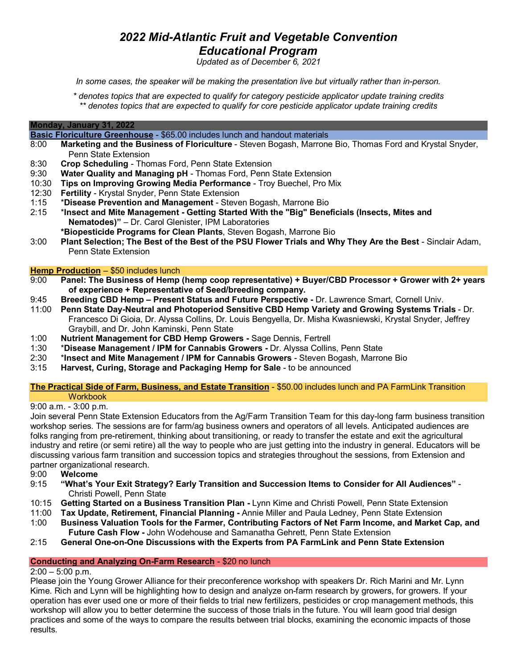### *2022 Mid-Atlantic Fruit and Vegetable Convention Educational Program*

*Updated as of December 6, 2021*

*In some cases, the speaker will be making the presentation live but virtually rather than in-person.*

*\* denotes topics that are expected to qualify for category pesticide applicator update training credits \*\* denotes topics that are expected to qualify for core pesticide applicator update training credits*

#### **Monday, January 31, 2022**

**Basic Floriculture Greenhouse** - \$65.00 includes lunch and handout materials

- 8:00 **Marketing and the Business of Floriculture** Steven Bogash, Marrone Bio, Thomas Ford and Krystal Snyder, Penn State Extension
- 8:30 **Crop Scheduling** Thomas Ford, Penn State Extension
- 9:30 **Water Quality and Managing pH**  Thomas Ford, Penn State Extension
- 10:30 **Tips on Improving Growing Media Performance** Troy Buechel, Pro Mix
- 12:30 **Fertility** Krystal Snyder, Penn State Extension
- 1:15 \***Disease Prevention and Management** Steven Bogash, Marrone Bio
- 2:15 \***Insect and Mite Management - Getting Started With the "Big" Beneficials (Insects, Mites and Nematodes)"** – Dr. Carol Glenister, IPM Laboratories
	- **\*Biopesticide Programs for Clean Plants**, Steven Bogash, Marrone Bio
- 3:00 **Plant Selection; The Best of the Best of the PSU Flower Trials and Why They Are the Best** Sinclair Adam, Penn State Extension

#### **Hemp Production** – \$50 includes lunch

- 9:00 **Panel: The Business of Hemp (hemp coop representative) + Buyer/CBD Processor + Grower with 2+ years of experience + Representative of Seed/breeding company.**
- 9:45 **Breeding CBD Hemp – Present Status and Future Perspective -** Dr. Lawrence Smart, Cornell Univ.
- 11:00 **Penn State Day-Neutral and Photoperiod Sensitive CBD Hemp Variety and Growing Systems Trials**  Dr. Francesco Di Gioia, Dr. Alyssa Collins, Dr. Louis Bengyella, Dr. Misha Kwasniewski, Krystal Snyder, Jeffrey Graybill, and Dr. John Kaminski, Penn State
- 1:00 **Nutrient Management for CBD Hemp Growers -** Sage Dennis, Fertrell
- 1:30 \***Disease Management / IPM for Cannabis Growers -** Dr. Alyssa Collins, Penn State
- 2:30 \***Insect and Mite Management / IPM for Cannabis Growers** Steven Bogash, Marrone Bio
- 3:15 **Harvest, Curing, Storage and Packaging Hemp for Sale** to be announced

#### **The Practical Side of Farm, Business, and Estate Transition** - \$50.00 includes lunch and PA FarmLink Transition Workbook

9:00 a.m. - 3:00 p.m.

Join several Penn State Extension Educators from the Ag/Farm Transition Team for this day-long farm business transition workshop series. The sessions are for farm/ag business owners and operators of all levels. Anticipated audiences are folks ranging from pre-retirement, thinking about transitioning, or ready to transfer the estate and exit the agricultural industry and retire (or semi retire) all the way to people who are just getting into the industry in general. Educators will be discussing various farm transition and succession topics and strategies throughout the sessions, from Extension and partner organizational research.

- 9:00 **Welcome**
- 9:15 **"What's Your Exit Strategy? Early Transition and Succession Items to Consider for All Audiences"** Christi Powell, Penn State
- 10:15 **Getting Started on a Business Transition Plan -** Lynn Kime and Christi Powell, Penn State Extension
- 11:00 **Tax Update, Retirement, Financial Planning -** Annie Miller and Paula Ledney, Penn State Extension
- 1:00 **Business Valuation Tools for the Farmer, Contributing Factors of Net Farm Income, and Market Cap, and Future Cash Flow -** John Wodehouse and Samanatha Gehrett, Penn State Extension
- 2:15 **General One-on-One Discussions with the Experts from PA FarmLink and Penn State Extension**

#### **Conducting and Analyzing On-Farm Research** - \$20 no lunch

#### $2:00 - 5:00$  p.m.

Please join the Young Grower Alliance for their preconference workshop with speakers Dr. Rich Marini and Mr. Lynn Kime. Rich and Lynn will be highlighting how to design and analyze on-farm research by growers, for growers. If your operation has ever used one or more of their fields to trial new fertilizers, pesticides or crop management methods, this workshop will allow you to better determine the success of those trials in the future. You will learn good trial design practices and some of the ways to compare the results between trial blocks, examining the economic impacts of those results.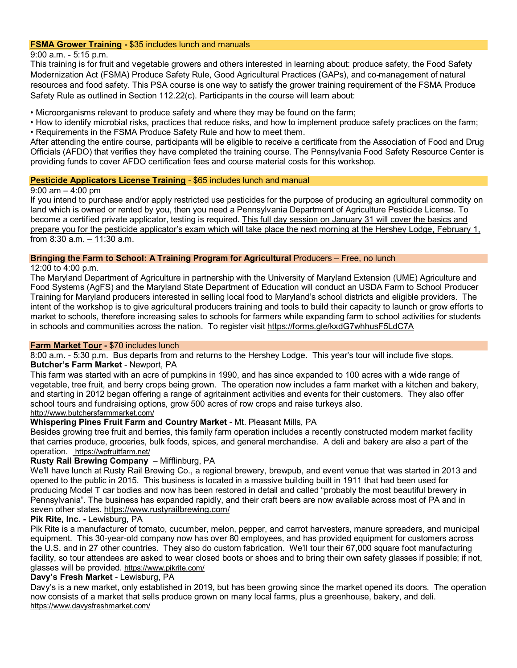#### **FSMA Grower Training -** \$35 includes lunch and manuals

9:00 a.m. - 5:15 p.m.

This training is for fruit and vegetable growers and others interested in learning about: produce safety, the Food Safety Modernization Act (FSMA) Produce Safety Rule, Good Agricultural Practices (GAPs), and co-management of natural resources and food safety. This PSA course is one way to satisfy the grower training requirement of the FSMA Produce Safety Rule as outlined in Section 112.22(c). Participants in the course will learn about:

• Microorganisms relevant to produce safety and where they may be found on the farm;

• How to identify microbial risks, practices that reduce risks, and how to implement produce safety practices on the farm;

• Requirements in the FSMA Produce Safety Rule and how to meet them.

After attending the entire course, participants will be eligible to receive a certificate from the Association of Food and Drug Officials (AFDO) that verifies they have completed the training course. The Pennsylvania Food Safety Resource Center is providing funds to cover AFDO certification fees and course material costs for this workshop.

#### **Pesticide Applicators License Training** - \$65 includes lunch and manual

#### 9:00 am – 4:00 pm

If you intend to purchase and/or apply restricted use pesticides for the purpose of producing an agricultural commodity on land which is owned or rented by you, then you need a Pennsylvania Department of Agriculture Pesticide License. To become a certified private applicator, testing is required. This full day session on January 31 will cover the basics and prepare you for the pesticide applicator's exam which will take place the next morning at the Hershey Lodge, February 1, from 8:30 a.m. – 11:30 a.m.

**Bringing the Farm to School: A Training Program for Agricultural** Producers – Free, no lunch

12:00 to 4:00 p.m.

The Maryland Department of Agriculture in partnership with the University of Maryland Extension (UME) Agriculture and Food Systems (AgFS) and the Maryland State Department of Education will conduct an USDA Farm to School Producer Training for Maryland producers interested in selling local food to Maryland's school districts and eligible providers. The intent of the workshop is to give agricultural producers training and tools to build their capacity to launch or grow efforts to market to schools, therefore increasing sales to schools for farmers while expanding farm to school activities for students in schools and communities across the nation. To register visi[t https://forms.gle/kxdG7whhusF5LdC7A](https://forms.gle/kxdG7whhusF5LdC7A)

#### **Farm Market Tour -** \$70 includes lunch

8:00 a.m. - 5:30 p.m. Bus departs from and returns to the Hershey Lodge. This year's tour will include five stops. **Butcher's Farm Market** - Newport, PA

This farm was started with an acre of pumpkins in 1990, and has since expanded to 100 acres with a wide range of vegetable, tree fruit, and berry crops being grown. The operation now includes a farm market with a kitchen and bakery, and starting in 2012 began offering a range of agritainment activities and events for their customers. They also offer school tours and fundraising options, grow 500 acres of row crops and raise turkeys also. <http://www.butchersfarmmarket.com/>

### **Whispering Pines Fruit Farm and Country Market** - Mt. Pleasant Mills, PA

Besides growing tree fruit and berries, this family farm operation includes a recently constructed modern market facility that carries produce, groceries, bulk foods, spices, and general merchandise. A deli and bakery are also a part of the operation. <https://wpfruitfarm.net/>

### **Rusty Rail Brewing Company** – Mifflinburg, PA

We'll have lunch at Rusty Rail Brewing Co., a regional brewery, brewpub, and event venue that was started in 2013 and opened to the public in 2015. This business is located in a massive building built in 1911 that had been used for producing Model T car bodies and now has been restored in detail and called "probably the most beautiful brewery in Pennsylvania". The business has expanded rapidly, and their craft beers are now available across most of PA and in seven other states.<https://www.rustyrailbrewing.com/>

### **Pik Rite, Inc. -** Lewisburg, PA

Pik Rite is a manufacturer of tomato, cucumber, melon, pepper, and carrot harvesters, manure spreaders, and municipal equipment. This 30-year-old company now has over 80 employees, and has provided equipment for customers across the U.S. and in 27 other countries. They also do custom fabrication. We'll tour their 67,000 square foot manufacturing facility, so tour attendees are asked to wear closed boots or shoes and to bring their own safety glasses if possible; if not, glasses will be provided. <https://www.pikrite.com/>

### **Davy's Fresh Market** - Lewisburg, PA

Davy's is a new market, only established in 2019, but has been growing since the market opened its doors. The operation now consists of a market that sells produce grown on many local farms, plus a greenhouse, bakery, and deli. <https://www.davysfreshmarket.com/>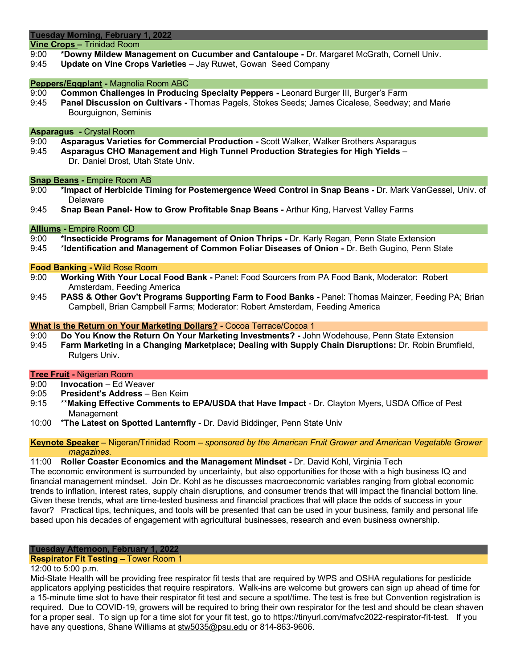**Vine Crops –** Trinidad Room

- 9:00 **\*Downy Mildew Management on Cucumber and Cantaloupe -** Dr. Margaret McGrath, Cornell Univ.
- 9:45 **Update on Vine Crops Varieties** Jay Ruwet, Gowan Seed Company

# **Peppers/Eggplant -** Magnolia Room ABC

- 9:00 **Common Challenges in Producing Specialty Peppers -** Leonard Burger III, Burger's Farm
- Panel Discussion on Cultivars Thomas Pagels, Stokes Seeds; James Cicalese, Seedway; and Marie Bourguignon, Seminis

## **Asparagus -** Crystal Room

- 9:00 **Asparagus Varieties for Commercial Production -** Scott Walker, Walker Brothers Asparagus
- 9:45 **Asparagus CHO Management and High Tunnel Production Strategies for High Yields**
	- Dr. Daniel Drost, Utah State Univ.

### **Snap Beans - Empire Room AB**<br>9:00 **\*Impact of Herbicide Tir**

- 9:00 **\*Impact of Herbicide Timing for Postemergence Weed Control in Snap Beans -** Dr. Mark VanGessel, Univ. of Delaware
- 9:45 **Snap Bean Panel- How to Grow Profitable Snap Beans -** Arthur King, Harvest Valley Farms

#### **Alliums -** Empire Room CD

- 9:00 **\*Insecticide Programs for Management of Onion Thrips -** Dr. Karly Regan, Penn State Extension
- 9:45 \***Identification and Management of Common Foliar Diseases of Onion -** Dr. Beth Gugino, Penn State

# **Food Banking -** Wild Rose Room

- 9:00 **Working With Your Local Food Bank -** Panel: Food Sourcers from PA Food Bank, Moderator: Robert Amsterdam, Feeding America
- 9:45 **PASS & Other Gov't Programs Supporting Farm to Food Banks -** Panel: Thomas Mainzer, Feeding PA; Brian Campbell, Brian Campbell Farms; Moderator: Robert Amsterdam, Feeding America

#### **What is the Return on Your Marketing Dollars? -** Cocoa Terrace/Cocoa 1

- 9:00 **Do You Know the Return On Your Marketing Investments? -** John Wodehouse, Penn State Extension
- 9:45 **Farm Marketing in a Changing Marketplace; Dealing with Supply Chain Disruptions:** Dr. Robin Brumfield, Rutgers Univ.

# **Tree Fruit -** Nigerian Room

- 9:00 **Invocation** Ed Weaver
- 9:05 **President's Address** Ben Keim
- 9:15 \*\***Making Effective Comments to EPA/USDA that Have Impact** Dr. Clayton Myers, USDA Office of Pest Management
- 10:00 \***The Latest on Spotted Lanternfly** Dr. David Biddinger, Penn State Univ

#### **Keynote Speaker** – Nigeran/Trinidad Room – *sponsored by the American Fruit Grower and American Vegetable Grower magazines.*

#### 11:00 **Roller Coaster Economics and the Management Mindset -** Dr. David Kohl, Virginia Tech

The economic environment is surrounded by uncertainty, but also opportunities for those with a high business IQ and financial management mindset. Join Dr. Kohl as he discusses macroeconomic variables ranging from global economic trends to inflation, interest rates, supply chain disruptions, and consumer trends that will impact the financial bottom line. Given these trends, what are time-tested business and financial practices that will place the odds of success in your favor? Practical tips, techniques, and tools will be presented that can be used in your business, family and personal life based upon his decades of engagement with agricultural businesses, research and even business ownership.

#### **Tuesday Afternoon, February 1, 2022**

#### **Respirator Fit Testing –** Tower Room 1

#### 12:00 to 5:00 p.m.

Mid-State Health will be providing free respirator fit tests that are required by WPS and OSHA regulations for pesticide applicators applying pesticides that require respirators. Walk-ins are welcome but growers can sign up ahead of time for a 15-minute time slot to have their respirator fit test and secure a spot/time. The test is free but Convention registration is required. Due to COVID-19, growers will be required to bring their own respirator for the test and should be clean shaven for a proper seal. To sign up for a time slot for your fit test, go to [https://tinyurl.com/mafvc2022-respirator-fit-test.](https://nam10.safelinks.protection.outlook.com/?url=https%3A%2F%2Ftinyurl.com%2Fmafvc2022-respirator-fit-test&data=04%7C01%7Cdaniel.weber%40psu.edu%7C3a39ec4ce6764157888308d9b434d392%7C7cf48d453ddb4389a9c1c115526eb52e%7C0%7C0%7C637738961239133046%7CUnknown%7CTWFpbGZsb3d8eyJWIjoiMC4wLjAwMDAiLCJQIjoiV2luMzIiLCJBTiI6Ik1haWwiLCJXVCI6Mn0%3D%7C3000&sdata=jpHhgDaLkWQO78MqAfNf9J8ZQIprWPPmw38%2F9w%2B2Oc4%3D&reserved=0) If you have any questions, Shane Williams at [stw5035@psu.edu](mailto:stw5035@psu.edu) or 814-863-9606.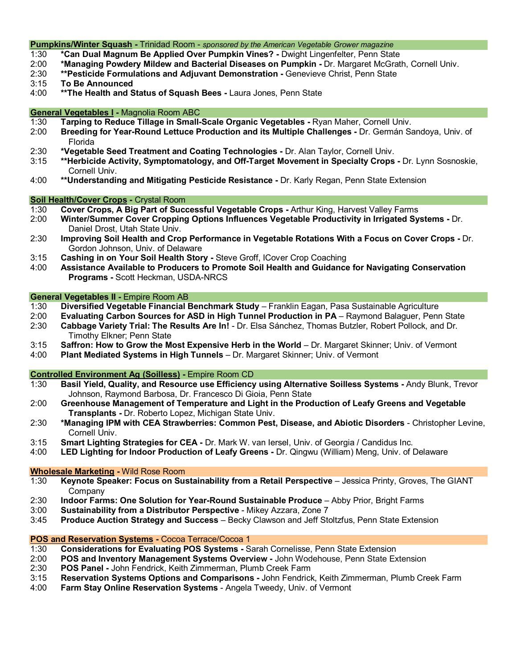#### **Pumpkins/Winter Squash -** Trinidad Room - *sponsored by the American Vegetable Grower magazine*

- 1:30 **\*Can Dual Magnum Be Applied Over Pumpkin Vines? -** Dwight Lingenfelter, Penn State
- 2:00 **\*Managing Powdery Mildew and Bacterial Diseases on Pumpkin -** Dr. Margaret McGrath, Cornell Univ.
- 2:30 **\*\*Pesticide Formulations and Adjuvant Demonstration -** Genevieve Christ, Penn State
- 3:15 **To Be Announced**
- \*\* The Health and Status of Squash Bees Laura Jones, Penn State

#### **General Vegetables I -** Magnolia Room ABC

- 1:30 **Tarping to Reduce Tillage in Small-Scale Organic Vegetables -** Ryan Maher, Cornell Univ.
- 2:00 **Breeding for Year-Round Lettuce Production and its Multiple Challenges -** Dr. Germán Sandoya, Univ. of Florida
- 2:30 **\*Vegetable Seed Treatment and Coating Technologies -** Dr. Alan Taylor, Cornell Univ.
- 3:15 **\*\*Herbicide Activity, Symptomatology, and Off-Target Movement in Specialty Crops -** Dr. Lynn Sosnoskie, Cornell Univ.
- 4:00 **\*\*Understanding and Mitigating Pesticide Resistance -** Dr. Karly Regan, Penn State Extension

# **Soil Health/Cover Crops -** Crystal Room

- 1:30 **Cover Crops, A Big Part of Successful Vegetable Crops -** Arthur King, Harvest Valley Farms
- 2:00 **Winter/Summer Cover Cropping Options Influences Vegetable Productivity in Irrigated Systems -** Dr. Daniel Drost, Utah State Univ.
- 2:30 **Improving Soil Health and Crop Performance in Vegetable Rotations With a Focus on Cover Crops -** Dr. Gordon Johnson, Univ. of Delaware
- 3:15 **Cashing in on Your Soil Health Story -** Steve Groff, ICover Crop Coaching
- 4:00 **Assistance Available to Producers to Promote Soil Health and Guidance for Navigating Conservation Programs -** Scott Heckman, USDA-NRCS

# **General Vegetables II - Empire Room AB**<br>1:30 **Diversified Vegetable Financial I**

- Diversified Vegetable Financial Benchmark Study Franklin Eagan, Pasa Sustainable Agriculture
- 2:00 **Evaluating Carbon Sources for ASD in High Tunnel Production in PA** Raymond Balaguer, Penn State 2:30 **Cabbage Variety Trial: The Results Are In!** - Dr. Elsa Sánchez, Thomas Butzler, Robert Pollock, and Dr.
- Timothy Elkner; Penn State
- 3:15 **Saffron: How to Grow the Most Expensive Herb in the World** Dr. Margaret Skinner; Univ. of Vermont
- 4:00 **Plant Mediated Systems in High Tunnels** Dr. Margaret Skinner; Univ. of Vermont

# **Controlled Environment Ag (Soilless) -** Empire Room CD

- Basil Yield, Quality, and Resource use Efficiency using Alternative Soilless Systems Andy Blunk, Trevor Johnson, Raymond Barbosa, Dr. Francesco Di Gioia, Penn State
- 2:00 **Greenhouse Management of Temperature and Light in the Production of Leafy Greens and Vegetable Transplants -** Dr. Roberto Lopez, Michigan State Univ.
- 2:30 **\*Managing IPM with CEA Strawberries: Common Pest, Disease, and Abiotic Disorders**  Christopher Levine, Cornell Univ.
- 3:15 **Smart Lighting Strategies for CEA -** Dr. Mark W. van Iersel, Univ. of Georgia / Candidus Inc.
- 4:00 **LED Lighting for Indoor Production of Leafy Greens -** Dr. Qingwu (William) Meng, Univ. of Delaware

### **Wholesale Marketing -** Wild Rose Room

- 1:30 **Keynote Speaker: Focus on Sustainability from a Retail Perspective** Jessica Printy, Groves, The GIANT **Company**
- 2:30 **Indoor Farms: One Solution for Year-Round Sustainable Produce** Abby Prior, Bright Farms
- Sustainability from a Distributor Perspective Mikey Azzara, Zone 7
- 3:45 **Produce Auction Strategy and Success**  Becky Clawson and Jeff Stoltzfus, Penn State Extension

#### **POS and Reservation Systems -** Cocoa Terrace/Cocoa 1

- 1:30 **Considerations for Evaluating POS Systems -** Sarah Cornelisse, Penn State Extension
- 2:00 **POS and Inventory Management Systems Overview -** John Wodehouse, Penn State Extension
- POS Panel John Fendrick, Keith Zimmerman, Plumb Creek Farm
- 3:15 **Reservation Systems Options and Comparisons -** John Fendrick, Keith Zimmerman, Plumb Creek Farm
- 4:00 **Farm Stay Online Reservation Systems** Angela Tweedy, Univ. of Vermont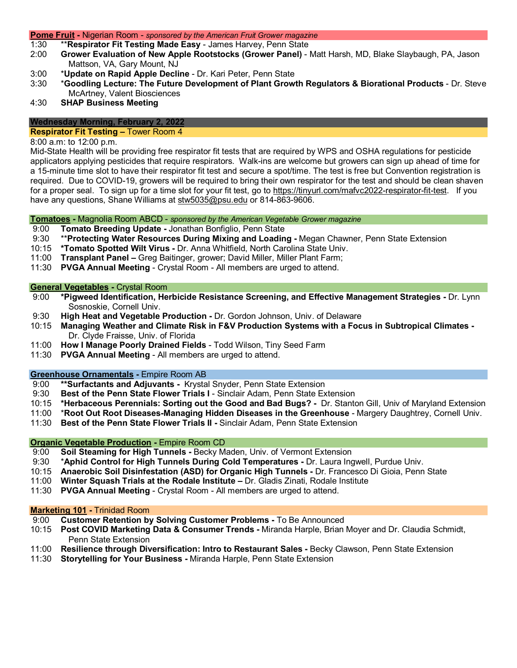#### **Pome Fruit -** Nigerian Room - *sponsored by the American Fruit Grower magazine*

- 1:30 \*\***Respirator Fit Testing Made Easy**  James Harvey, Penn State
- 2:00 **Grower Evaluation of New Apple Rootstocks (Grower Panel)** Matt Harsh, MD, Blake Slaybaugh, PA, Jason Mattson, VA, Gary Mount, NJ
- 3:00 \***Update on Rapid Apple Decline** Dr. Kari Peter, Penn State
- 3:30 \***Goodling Lecture: The Future Development of Plant Growth Regulators & Biorational Products** Dr. Steve McArtney, Valent Biosciences
- 4:30 **SHAP Business Meeting**

### **Wednesday Morning, February 2, 2022**

#### **Respirator Fit Testing –** Tower Room 4

#### 8:00 a.m: to 12:00 p.m.

Mid-State Health will be providing free respirator fit tests that are required by WPS and OSHA regulations for pesticide applicators applying pesticides that require respirators. Walk-ins are welcome but growers can sign up ahead of time for a 15-minute time slot to have their respirator fit test and secure a spot/time. The test is free but Convention registration is required. Due to COVID-19, growers will be required to bring their own respirator for the test and should be clean shaven for a proper seal. To sign up for a time slot for your fit test, go to [https://tinyurl.com/mafvc2022-respirator-fit-test.](https://nam10.safelinks.protection.outlook.com/?url=https%3A%2F%2Ftinyurl.com%2Fmafvc2022-respirator-fit-test&data=04%7C01%7Cdaniel.weber%40psu.edu%7C3a39ec4ce6764157888308d9b434d392%7C7cf48d453ddb4389a9c1c115526eb52e%7C0%7C0%7C637738961239133046%7CUnknown%7CTWFpbGZsb3d8eyJWIjoiMC4wLjAwMDAiLCJQIjoiV2luMzIiLCJBTiI6Ik1haWwiLCJXVCI6Mn0%3D%7C3000&sdata=jpHhgDaLkWQO78MqAfNf9J8ZQIprWPPmw38%2F9w%2B2Oc4%3D&reserved=0) If you have any questions, Shane Williams at [stw5035@psu.edu](mailto:stw5035@psu.edu) or 814-863-9606.

#### **Tomatoes -** Magnolia Room ABCD - *sponsored by the American Vegetable Grower magazine*

- 9:00 **Tomato Breeding Update -** Jonathan Bonfiglio, Penn State
- 9:30 \*\***Protecting Water Resources During Mixing and Loading -** Megan Chawner, Penn State Extension
- 10:15 **\*Tomato Spotted Wilt Virus -** Dr. Anna Whitfield, North Carolina State Univ.
- 11:00 **Transplant Panel –** Greg Baitinger, grower; David Miller, Miller Plant Farm;
- 11:30 **PVGA Annual Meeting**  Crystal Room All members are urged to attend.

# **General Vegetables - Crystal Room**<br>9:00 **\*Pigweed Identification, He**

- 9:00 **\*Pigweed Identification, Herbicide Resistance Screening, and Effective Management Strategies -** Dr. Lynn Sosnoskie, Cornell Univ.
- 9:30 **High Heat and Vegetable Production -** Dr. Gordon Johnson, Univ. of Delaware
- 10:15 **Managing Weather and Climate Risk in F&V Production Systems with a Focus in Subtropical Climates -** Dr. Clyde Fraisse, Univ. of Florida
- 11:00 **How I Manage Poorly Drained Fields** Todd Wilson, Tiny Seed Farm
- 11:30 **PVGA Annual Meeting**  All members are urged to attend.

# **Greenhouse Ornamentals - Empire Room AB**<br>9:00 **\*\*Surfactants and Adjuvants - Krystal**

- 9:00 **\*\*Surfactants and Adjuvants -** Krystal Snyder, Penn State Extension
- 9:30 **Best of the Penn State Flower Trials I**  Sinclair Adam, Penn State Extension
- 10:15 **\*Herbaceous Perennials: Sorting out the Good and Bad Bugs? -** Dr. Stanton Gill, Univ of Maryland Extension
- 11:00 \***Root Out Root Diseases-Managing Hidden Diseases in the Greenhouse**  Margery Daughtrey, Cornell Univ.
- **Best of the Penn State Flower Trials II Sinclair Adam, Penn State Extension**

#### **Organic Vegetable Production -** Empire Room CD

- 9:00 **Soil Steaming for High Tunnels -** Becky Maden, Univ. of Vermont Extension
- 9:30 \***Aphid Control for High Tunnels During Cold Temperatures -** Dr. Laura Ingwell, Purdue Univ.
- 10:15 **Anaerobic Soil Disinfestation (ASD) for Organic High Tunnels -** Dr. Francesco Di Gioia, Penn State
- 11:00 **Winter Squash Trials at the Rodale Institute –** Dr. Gladis Zinati, Rodale Institute
- 11:30 **PVGA Annual Meeting**  Crystal Room All members are urged to attend.

#### **Marketing 101 -** Trinidad Room

- 9:00 **Customer Retention by Solving Customer Problems -** To Be Announced
- 10:15 **Post COVID Marketing Data & Consumer Trends -** Miranda Harple, Brian Moyer and Dr. Claudia Schmidt, Penn State Extension
- 11:00 **Resilience through Diversification: Intro to Restaurant Sales -** Becky Clawson, Penn State Extension
- 11:30 **Storytelling for Your Business -** Miranda Harple, Penn State Extension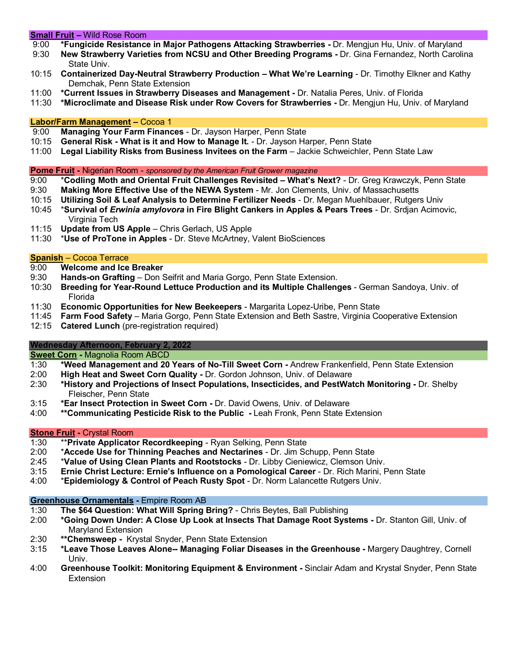#### **Small Fruit –** Wild Rose Room

- 9:00 **\*Fungicide Resistance in Major Pathogens Attacking Strawberries -** Dr. Mengjun Hu, Univ. of Maryland
- 9:30 **New Strawberry Varieties from NCSU and Other Breeding Programs -** Dr. Gina Fernandez, North Carolina State Univ.
- 10:15 **Containerized Day-Neutral Strawberry Production – What We're Learning**  Dr. Timothy Elkner and Kathy Demchak, Penn State Extension
- 11:00 **\*Current Issues in Strawberry Diseases and Management -** Dr. Natalia Peres, Univ. of Florida
- 11:30 **\*Microclimate and Disease Risk under Row Covers for Strawberries -** Dr. Mengjun Hu, Univ. of Maryland

### **Labor/Farm Management –** Cocoa 1

- 9:00 **Managing Your Farm Finances** Dr. Jayson Harper, Penn State
- 10:15 **General Risk - What is it and How to Manage It.** Dr. Jayson Harper, Penn State
- 11:00 **Legal Liability Risks from Business Invitees on the Farm** Jackie Schweichler, Penn State Law

- **Pome Fruit** Nigerian Room *sponsored by the American Fruit Grower magazine*<br>9:00 **\*Codling Moth and Oriental Fruit Challenges Revisited What's f** 9:00 \***Codling Moth and Oriental Fruit Challenges Revisited – What's Next?** - Dr. Greg Krawczyk, Penn State
- 9:30 **Making More Effective Use of the NEWA System** Mr. Jon Clements, Univ. of Massachusetts
- 10:15 **Utilizing Soil & Leaf Analysis to Determine Fertilizer Needs** Dr. Megan Muehlbauer, Rutgers Univ
- 10:45 \***Survival of** *Erwinia amylovora* **in Fire Blight Cankers in Apples & Pears Trees** Dr. Srdjan Acimovic, Virginia Tech
- 11:15 **Update from US Apple** Chris Gerlach, US Apple
- 11:30 \***Use of ProTone in Apples** Dr. Steve McArtney, Valent BioSciences

### **Spanish** – Cocoa Terrace

- 9:00 **Welcome and Ice Breaker**
- 9:30 **Hands-on Grafting** Don Seifrit and Maria Gorgo, Penn State Extension.
- 10:30 **Breeding for Year-Round Lettuce Production and its Multiple Challenges** German Sandoya, Univ. of Florida
- 11:30 **Economic Opportunities for New Beekeepers** Margarita Lopez-Uribe, Penn State
- 11:45 **Farm Food Safety** Maria Gorgo, Penn State Extension and Beth Sastre, Virginia Cooperative Extension
- **Catered Lunch** (pre-registration required)

### **Wednesday Afternoon, February 2, 2022**

**Sweet Corn** - Magnolia Room ABCD<br>1:30 **\*Weed Management and 20** 

- 1:30 **\*Weed Management and 20 Years of No-Till Sweet Corn -** Andrew Frankenfield, Penn State Extension
- 2:00 **High Heat and Sweet Corn Quality -** Dr. Gordon Johnson, Univ. of Delaware
- 2:30 **\*History and Projections of Insect Populations, Insecticides, and PestWatch Monitoring -** Dr. Shelby Fleischer, Penn State
- 3:15 **\*Ear Insect Protection in Sweet Corn -** Dr. David Owens, Univ. of Delaware
- 4:00 **\*\*Communicating Pesticide Risk to the Public -** Leah Fronk, Penn State Extension

### **Stone Fruit -** Crystal Room

- 1:30 \*\***Private Applicator Recordkeeping** Ryan Selking, Penn State
- 2:00 \***Accede Use for Thinning Peaches and Nectarines** Dr. Jim Schupp, Penn State
- 2:45 \***Value of Using Clean Plants and Rootstocks** Dr. Libby Cieniewicz, Clemson Univ.
- 3:15 **Ernie Christ Lecture: Ernie's Influence on a Pomological Career** Dr. Rich Marini, Penn State
- 4:00 \***Epidemiology & Control of Peach Rusty Spot** Dr. Norm Lalancette Rutgers Univ.

### **Greenhouse Ornamentals -** Empire Room AB

- 1:30 **The \$64 Question: What Will Spring Bring?**  Chris Beytes, Ball Publishing
- 2:00 **\*Going Down Under: A Close Up Look at Insects That Damage Root Systems -** Dr. Stanton Gill, Univ. of Maryland Extension
- 2:30 **\*\*Chemsweep -** Krystal Snyder, Penn State Extension
- 3:15 **\*Leave Those Leaves Alone-- Managing Foliar Diseases in the Greenhouse -** Margery Daughtrey, Cornell Univ.
- 4:00 **Greenhouse Toolkit: Monitoring Equipment & Environment -** Sinclair Adam and Krystal Snyder, Penn State Extension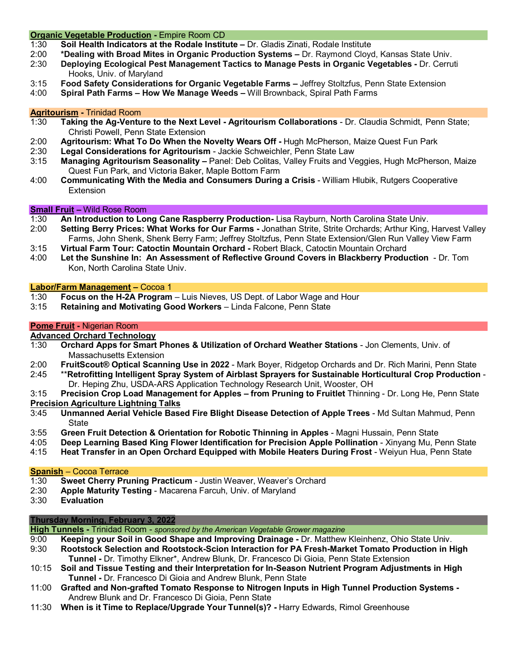#### **Organic Vegetable Production -** Empire Room CD

- 1:30 **Soil Health Indicators at the Rodale Institute –** Dr. Gladis Zinati, Rodale Institute
- 2:00 **\*Dealing with Broad Mites in Organic Production Systems –** Dr. Raymond Cloyd, Kansas State Univ.
- **Deploying Ecological Pest Management Tactics to Manage Pests in Organic Vegetables Dr. Cerruti** Hooks, Univ. of Maryland
- 3:15 **Food Safety Considerations for Organic Vegetable Farms –** Jeffrey Stoltzfus, Penn State Extension
- 4:00 **Spiral Path Farms – How We Manage Weeds –** Will Brownback, Spiral Path Farms

#### **Agritourism -** Trinidad Room

- 1:30 **Taking the Ag-Venture to the Next Level - Agritourism Collaborations** Dr. Claudia Schmidt, Penn State; Christi Powell, Penn State Extension
- 2:00 **Agritourism: What To Do When the Novelty Wears Off -** Hugh McPherson, Maize Quest Fun Park
- 2:30 **Legal Considerations for Agritourism** Jackie Schweichler, Penn State Law
- 3:15 **Managing Agritourism Seasonality –** Panel: Deb Colitas, Valley Fruits and Veggies, Hugh McPherson, Maize Quest Fun Park, and Victoria Baker, Maple Bottom Farm
- 4:00 **Communicating With the Media and Consumers During a Crisis** William Hlubik, Rutgers Cooperative **Extension**

# **Small Fruit –** Wild Rose Room

- 1:30 **An Introduction to Long Cane Raspberry Production-** Lisa Rayburn, North Carolina State Univ.
- 2:00 **Setting Berry Prices: What Works for Our Farms -** Jonathan Strite, Strite Orchards; Arthur King, Harvest Valley Farms, John Shenk, Shenk Berry Farm; Jeffrey Stoltzfus, Penn State Extension/Glen Run Valley View Farm
- 3:15 **Virtual Farm Tour: Catoctin Mountain Orchard -** Robert Black, Catoctin Mountain Orchard
- 4:00 **Let the Sunshine In: An Assessment of Reflective Ground Covers in Blackberry Production**  Dr. Tom Kon, North Carolina State Univ.

# **Labor/Farm Management – Cocoa 1**<br>1:30 **Focus on the H-2A Program**

- 1:30 **Focus on the H-2A Program** Luis Nieves, US Dept. of Labor Wage and Hour
- 3:15 **Retaining and Motivating Good Workers**  Linda Falcone, Penn State

#### **Pome Fruit -** Nigerian Room

### **Advanced Orchard Technology**

- 1:30 **Orchard Apps for Smart Phones & Utilization of Orchard Weather Stations** Jon Clements, Univ. of Massachusetts Extension
- 2:00 **FruitScout® Optical Scanning Use in 2022** Mark Boyer, Ridgetop Orchards and Dr. Rich Marini, Penn State
- 2:45 \*\***Retrofitting Intelligent Spray System of Airblast Sprayers for Sustainable Horticultural Crop Production** Dr. Heping Zhu, USDA-ARS Application Technology Research Unit, Wooster, OH
- 3:15 **Precision Crop Load Management for Apples – from Pruning to Fruitlet** Thinning Dr. Long He, Penn State
- **Precision Agriculture Lightning Talks**<br>3:45 **Unmanned Aerial Vehicle Base** 3:45 **Unmanned Aerial Vehicle Based Fire Blight Disease Detection of Apple Trees** - Md Sultan Mahmud, Penn State
- 3:55 **Green Fruit Detection & Orientation for Robotic Thinning in Apples** Magni Hussain, Penn State
- 4:05 **Deep Learning Based King Flower Identification for Precision Apple Pollination** Xinyang Mu, Penn State
- 4:15 **Heat Transfer in an Open Orchard Equipped with Mobile Heaters During Frost** Weiyun Hua, Penn State

#### **Spanish** – Cocoa Terrace

- 1:30 **Sweet Cherry Pruning Practicum** Justin Weaver, Weaver's Orchard
- 2:30 **Apple Maturity Testing** Macarena Farcuh, Univ. of Maryland
- **Evaluation**

#### **Thursday Morning, February 3, 2022**

**High Tunnels -** Trinidad Room - *sponsored by the American Vegetable Grower magazine*

- 9:00 **Keeping your Soil in Good Shape and Improving Drainage -** Dr. Matthew Kleinhenz, Ohio State Univ.
- 9:30 **Rootstock Selection and Rootstock-Scion Interaction for PA Fresh-Market Tomato Production in High Tunnel -** Dr. Timothy Elkner\*, Andrew Blunk, Dr. Francesco Di Gioia, Penn State Extension
- 10:15 **Soil and Tissue Testing and their Interpretation for In-Season Nutrient Program Adjustments in High Tunnel -** Dr. Francesco Di Gioia and Andrew Blunk, Penn State
- 11:00 **Grafted and Non-grafted Tomato Response to Nitrogen Inputs in High Tunnel Production Systems -** Andrew Blunk and Dr. Francesco Di Gioia, Penn State
- 11:30 **When is it Time to Replace/Upgrade Your Tunnel(s)? -** Harry Edwards, Rimol Greenhouse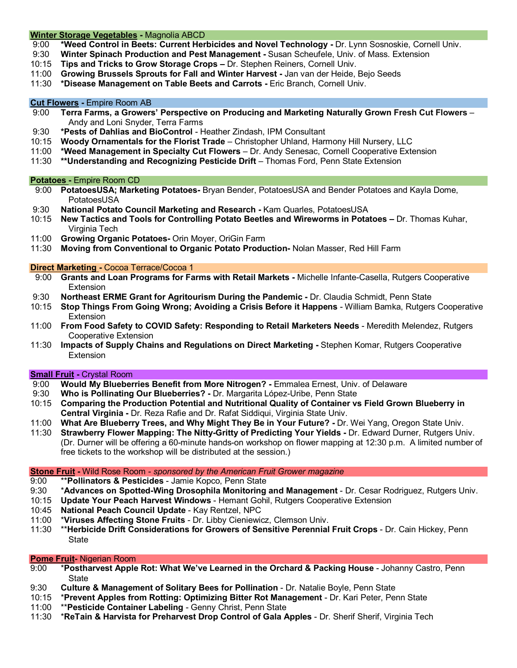#### **Winter Storage Vegetables -** Magnolia ABCD

- 9:00 **\*Weed Control in Beets: Current Herbicides and Novel Technology -** Dr. Lynn Sosnoskie, Cornell Univ.
- 9:30 **Winter Spinach Production and Pest Management -** Susan Scheufele, Univ. of Mass. Extension
- 10:15 **Tips and Tricks to Grow Storage Crops –** Dr. Stephen Reiners, Cornell Univ.
- 11:00 **Growing Brussels Sprouts for Fall and Winter Harvest -** Jan van der Heide, Bejo Seeds
- 11:30 **\*Disease Management on Table Beets and Carrots -** Eric Branch, Cornell Univ.

# **Cut Flowers** - Empire Room AB<br>9:00 **Terra Farms, a Growers**

- 9:00 **Terra Farms, a Growers' Perspective on Producing and Marketing Naturally Grown Fresh Cut Flowers** Andy and Loni Snyder, Terra Farms
- 9:30 **\*Pests of Dahlias and BioControl** Heather Zindash, IPM Consultant
- 10:15 **Woody Ornamentals for the Florist Trade**  Christopher Uhland, Harmony Hill Nursery, LLC
- 11:00 **\*Weed Management in Specialty Cut Flowers** Dr. Andy Senesac, Cornell Cooperative Extension
- 11:30 **\*\*Understanding and Recognizing Pesticide Drift** Thomas Ford, Penn State Extension

## **Potatoes - Empire Room CD**<br>9:00 **PotatoesUSA: Marke**

- 9:00 **PotatoesUSA; Marketing Potatoes-** Bryan Bender, PotatoesUSA and Bender Potatoes and Kayla Dome, **PotatoesUSA**
- 
- 9:30 **National Potato Council Marketing and Research -** Kam Quarles, PotatoesUSA 10:15 **New Tactics and Tools for Controlling Potato Beetles and Wireworms in Potatoes –** Dr. Thomas Kuhar, Virginia Tech
- 11:00 **Growing Organic Potatoes-** Orin Moyer, OriGin Farm
- **Moving from Conventional to Organic Potato Production-** Nolan Masser, Red Hill Farm

## **Direct Marketing -** Cocoa Terrace/Cocoa 1

- 9:00 **Grants and Loan Programs for Farms with Retail Markets -** Michelle Infante-Casella, Rutgers Cooperative **Extension**
- 9:30 **Northeast ERME Grant for Agritourism During the Pandemic -** Dr. Claudia Schmidt, Penn State
- 10:15 **Stop Things From Going Wrong; Avoiding a Crisis Before it Happens**  William Bamka, Rutgers Cooperative **Extension**
- 11:00 **From Food Safety to COVID Safety: Responding to Retail Marketers Needs**  Meredith Melendez, Rutgers Cooperative Extension
- 11:30 **Impacts of Supply Chains and Regulations on Direct Marketing -** Stephen Komar, Rutgers Cooperative **Extension**

# **Small Fruit -** Crystal Room

9:00 **Would My Blueberries Benefit from More Nitrogen? -** Emmalea Ernest, Univ. of Delaware

- 9:30 **Who is Pollinating Our Blueberries? -** Dr. Margarita López-Uribe, Penn State
- 10:15 **Comparing the Production Potential and Nutritional Quality of Container vs Field Grown Blueberry in Central Virginia -** Dr. Reza Rafie and Dr. Rafat Siddiqui, Virginia State Univ.
- 11:00 **What Are Blueberry Trees, and Why Might They Be in Your Future? -** Dr. Wei Yang, Oregon State Univ.
- 11:30 **Strawberry Flower Mapping: The Nitty-Gritty of Predicting Your Yields -** Dr. Edward Durner, Rutgers Univ. (Dr. Durner will be offering a 60-minute hands-on workshop on flower mapping at 12:30 p.m. A limited number of free tickets to the workshop will be distributed at the session.)

**Stone Fruit -** Wild Rose Room - *sponsored by the American Fruit Grower magazine*

- 9:00 \*\***Pollinators & Pesticides** Jamie Kopco, Penn State
- 9:30 \***Advances on Spotted-Wing Drosophila Monitoring and Management** Dr. Cesar Rodriguez, Rutgers Univ.
- 10:15 **Update Your Peach Harvest Windows** Hemant Gohil, Rutgers Cooperative Extension
- 10:45 **National Peach Council Update** Kay Rentzel, NPC
- 11:00 \***Viruses Affecting Stone Fruits** Dr. Libby Cieniewicz, Clemson Univ.
- \*\***Herbicide Drift Considerations for Growers of Sensitive Perennial Fruit Crops Dr. Cain Hickey, Penn State**

### **Pome Fruit-** Nigerian Room

- 9:00 \***Postharvest Apple Rot: What We've Learned in the Orchard & Packing House** Johanny Castro, Penn State
- 9:30 **Culture & Management of Solitary Bees for Pollination** Dr. Natalie Boyle, Penn State
- 10:15 \***Prevent Apples from Rotting: Optimizing Bitter Rot Management** Dr. Kari Peter, Penn State
- 11:00 \*\***Pesticide Container Labeling** Genny Christ, Penn State
- 11:30 \***ReTain & Harvista for Preharvest Drop Control of Gala Apples** Dr. Sherif Sherif, Virginia Tech